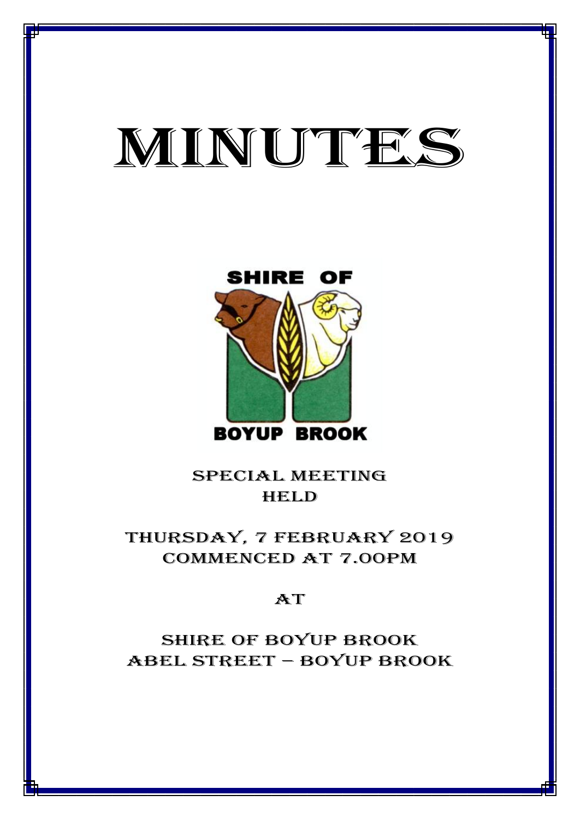# MINUTES

MINUTES OF THE ORDINARY MEETING OF COUNCIL HELD ON 7 FEBRUARY 2019



special meeting **HELD** 

thursday, 7 february 2019 CommencED at 7.00PM

## $AT$

Shire of boyup brook ABEL STREET – BOYUP BROOK

1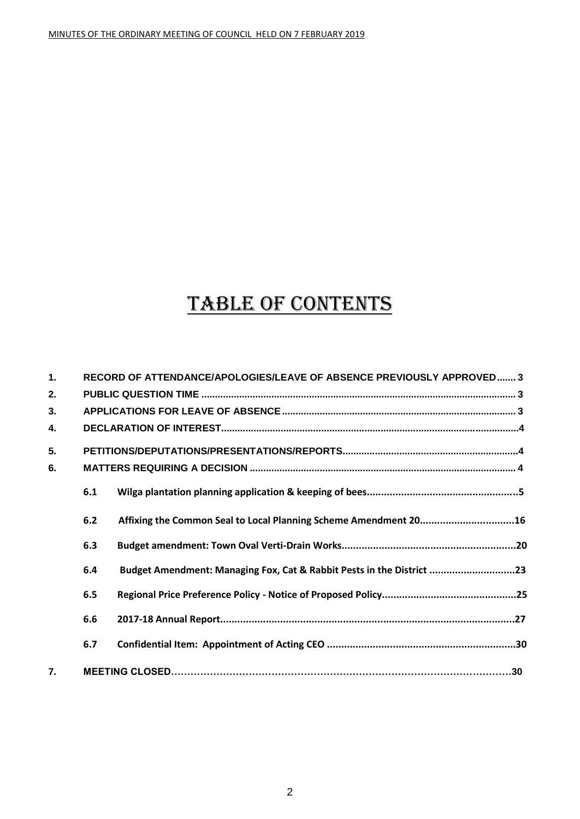## TABLE OF CONTENTS

| $\mathbf 1$ .    |     | RECORD OF ATTENDANCE/APOLOGIES/LEAVE OF ABSENCE PREVIOUSLY APPROVED 3 |  |
|------------------|-----|-----------------------------------------------------------------------|--|
| 2.               |     |                                                                       |  |
| 3.               |     |                                                                       |  |
| 4.               |     |                                                                       |  |
| 5.               |     |                                                                       |  |
| 6.               |     |                                                                       |  |
|                  | 6.1 |                                                                       |  |
|                  | 6.2 | Affixing the Common Seal to Local Planning Scheme Amendment 2016      |  |
|                  | 6.3 |                                                                       |  |
|                  | 6.4 | Budget Amendment: Managing Fox, Cat & Rabbit Pests in the District 23 |  |
|                  | 6.5 |                                                                       |  |
|                  | 6.6 |                                                                       |  |
|                  | 6.7 |                                                                       |  |
| $\overline{7}$ . |     |                                                                       |  |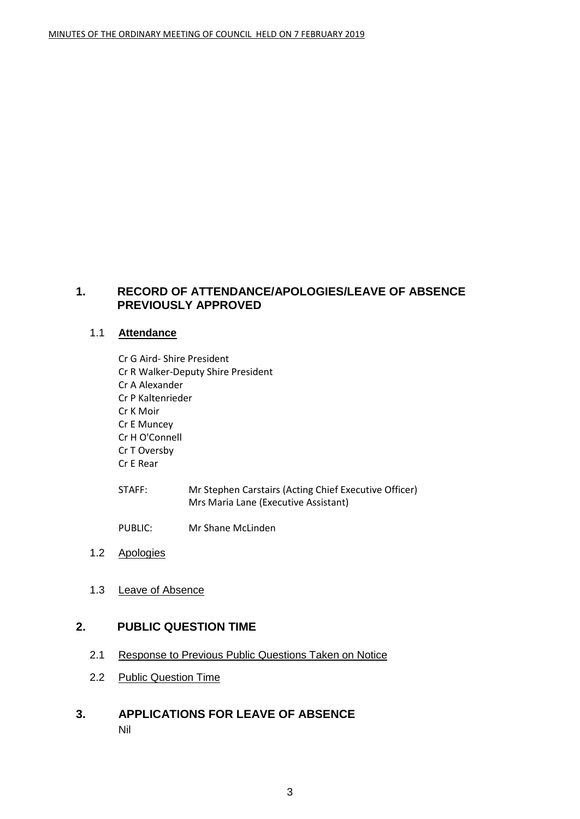#### <span id="page-2-0"></span>**1. RECORD OF ATTENDANCE/APOLOGIES/LEAVE OF ABSENCE PREVIOUSLY APPROVED**

#### 1.1 **Attendance**

- Cr G Aird- Shire President Cr R Walker-Deputy Shire President Cr A Alexander Cr P Kaltenrieder Cr K Moir Cr E Muncey Cr H O'Connell Cr T Oversby Cr E Rear
- STAFF: Mr Stephen Carstairs (Acting Chief Executive Officer) Mrs Maria Lane (Executive Assistant)
- PUBLIC: Mr Shane McLinden
- 1.2 Apologies
- 1.3 Leave of Absence

#### <span id="page-2-1"></span>**2. PUBLIC QUESTION TIME**

- 2.1 Response to Previous Public Questions Taken on Notice
- 2.2 Public Question Time
- <span id="page-2-2"></span>**3. APPLICATIONS FOR LEAVE OF ABSENCE** Nil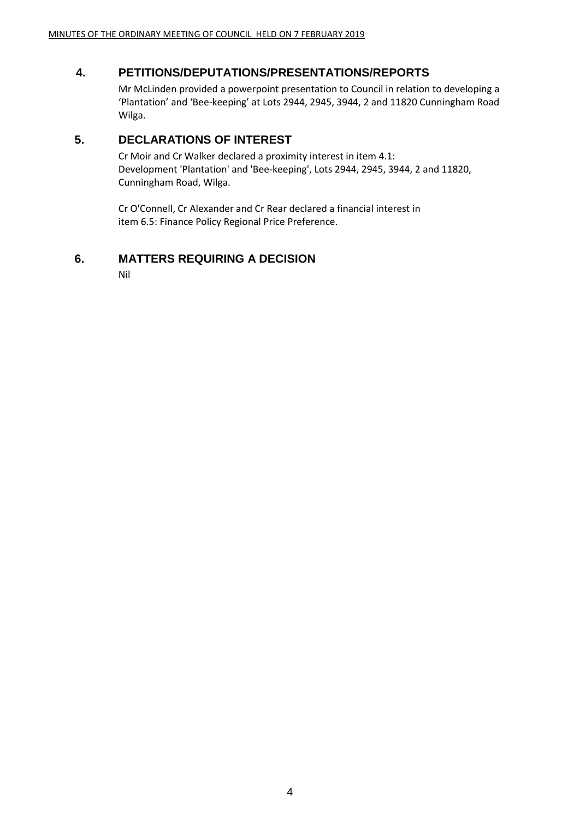## **4. PETITIONS/DEPUTATIONS/PRESENTATIONS/REPORTS**

Mr McLinden provided a powerpoint presentation to Council in relation to developing a 'Plantation' and 'Bee-keeping' at Lots 2944, 2945, 3944, 2 and 11820 Cunningham Road Wilga.

#### **5. DECLARATIONS OF INTEREST**

Cr Moir and Cr Walker declared a proximity interest in item 4.1: Development 'Plantation' and 'Bee-keeping', Lots 2944, 2945, 3944, 2 and 11820, Cunningham Road, Wilga.

Cr O'Connell, Cr Alexander and Cr Rear declared a financial interest in item 6.5: Finance Policy Regional Price Preference.

## <span id="page-3-0"></span>**6. MATTERS REQUIRING A DECISION**

Nil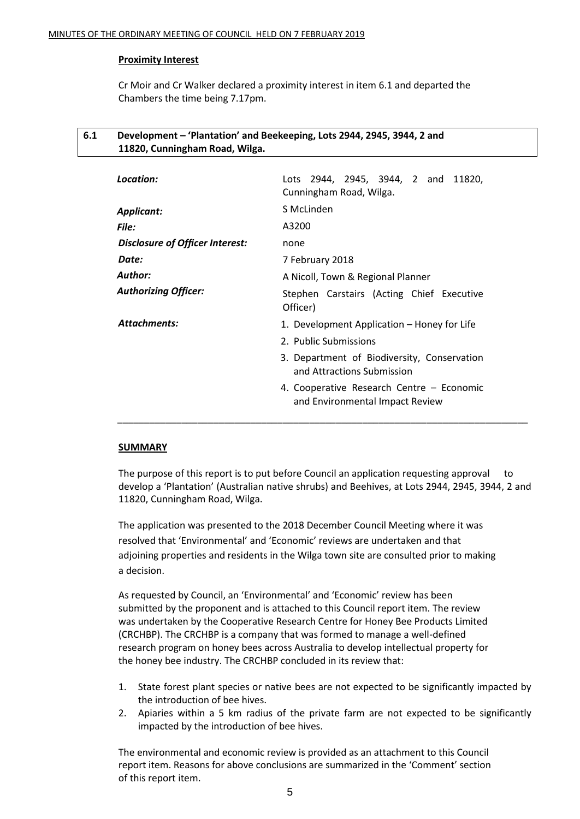#### **Proximity Interest**

Cr Moir and Cr Walker declared a proximity interest in item 6.1 and departed the Chambers the time being 7.17pm.

#### **6.1 Development – 'Plantation' and Beekeeping, Lots 2944, 2945, 3944, 2 and 11820, Cunningham Road, Wilga.**

| Location:                       | Lots 2944, 2945, 3944, 2 and 11820,<br>Cunningham Road, Wilga.               |
|---------------------------------|------------------------------------------------------------------------------|
| <b>Applicant:</b>               | S McLinden                                                                   |
| <b>File:</b>                    | A3200                                                                        |
| Disclosure of Officer Interest: | none                                                                         |
| Date:                           | 7 February 2018                                                              |
| Author:                         | A Nicoll, Town & Regional Planner                                            |
| <b>Authorizing Officer:</b>     | Stephen Carstairs (Acting Chief Executive<br>Officer)                        |
| <b>Attachments:</b>             | 1. Development Application – Honey for Life                                  |
|                                 | 2. Public Submissions                                                        |
|                                 | 3. Department of Biodiversity, Conservation<br>and Attractions Submission    |
|                                 | 4. Cooperative Research Centre - Economic<br>and Environmental Impact Review |

#### **SUMMARY**

The purpose of this report is to put before Council an application requesting approval to develop a 'Plantation' (Australian native shrubs) and Beehives, at Lots 2944, 2945, 3944, 2 and 11820, Cunningham Road, Wilga.

The application was presented to the 2018 December Council Meeting where it was resolved that 'Environmental' and 'Economic' reviews are undertaken and that adjoining properties and residents in the Wilga town site are consulted prior to making a decision.

As requested by Council, an 'Environmental' and 'Economic' review has been submitted by the proponent and is attached to this Council report item. The review was undertaken by the Cooperative Research Centre for Honey Bee Products Limited (CRCHBP). The CRCHBP is a company that was formed to manage a well-defined research program on honey bees across Australia to develop intellectual property for the honey bee industry. The CRCHBP concluded in its review that:

- 1. State forest plant species or native bees are not expected to be significantly impacted by the introduction of bee hives.
- 2. Apiaries within a 5 km radius of the private farm are not expected to be significantly impacted by the introduction of bee hives.

The environmental and economic review is provided as an attachment to this Council report item. Reasons for above conclusions are summarized in the 'Comment' section of this report item.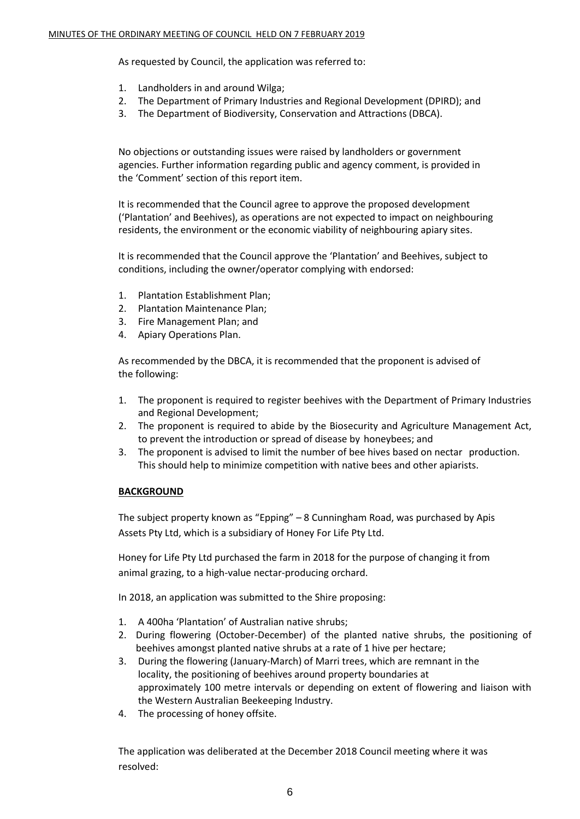As requested by Council, the application was referred to:

- 1. Landholders in and around Wilga;
- 2. The Department of Primary Industries and Regional Development (DPIRD); and
- 3. The Department of Biodiversity, Conservation and Attractions (DBCA).

No objections or outstanding issues were raised by landholders or government agencies. Further information regarding public and agency comment, is provided in the 'Comment' section of this report item.

It is recommended that the Council agree to approve the proposed development ('Plantation' and Beehives), as operations are not expected to impact on neighbouring residents, the environment or the economic viability of neighbouring apiary sites.

It is recommended that the Council approve the 'Plantation' and Beehives, subject to conditions, including the owner/operator complying with endorsed:

- 1. Plantation Establishment Plan;
- 2. Plantation Maintenance Plan;
- 3. Fire Management Plan; and
- 4. Apiary Operations Plan.

As recommended by the DBCA, it is recommended that the proponent is advised of the following:

- 1. The proponent is required to register beehives with the Department of Primary Industries and Regional Development;
- 2. The proponent is required to abide by the Biosecurity and Agriculture Management Act, to prevent the introduction or spread of disease by honeybees; and
- 3. The proponent is advised to limit the number of bee hives based on nectar production. This should help to minimize competition with native bees and other apiarists.

#### **BACKGROUND**

The subject property known as "Epping" – 8 Cunningham Road, was purchased by Apis Assets Pty Ltd, which is a subsidiary of Honey For Life Pty Ltd.

Honey for Life Pty Ltd purchased the farm in 2018 for the purpose of changing it from animal grazing, to a high-value nectar-producing orchard.

In 2018, an application was submitted to the Shire proposing:

- 1. A 400ha 'Plantation' of Australian native shrubs;
- 2. During flowering (October-December) of the planted native shrubs, the positioning of beehives amongst planted native shrubs at a rate of 1 hive per hectare;
- 3. During the flowering (January-March) of Marri trees, which are remnant in the locality, the positioning of beehives around property boundaries at approximately 100 metre intervals or depending on extent of flowering and liaison with the Western Australian Beekeeping Industry.
- 4. The processing of honey offsite.

The application was deliberated at the December 2018 Council meeting where it was resolved: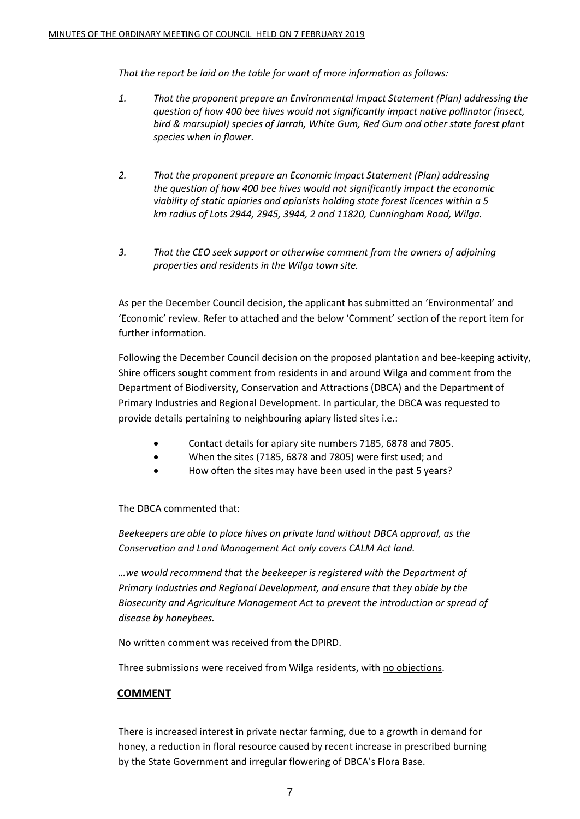*That the report be laid on the table for want of more information as follows:* 

- *1. That the proponent prepare an Environmental Impact Statement (Plan) addressing the question of how 400 bee hives would not significantly impact native pollinator (insect, bird & marsupial) species of Jarrah, White Gum, Red Gum and other state forest plant species when in flower.*
- *2. That the proponent prepare an Economic Impact Statement (Plan) addressing the question of how 400 bee hives would not significantly impact the economic viability of static apiaries and apiarists holding state forest licences within a 5 km radius of Lots 2944, 2945, 3944, 2 and 11820, Cunningham Road, Wilga.*
- *3. That the CEO seek support or otherwise comment from the owners of adjoining properties and residents in the Wilga town site.*

As per the December Council decision, the applicant has submitted an 'Environmental' and 'Economic' review. Refer to attached and the below 'Comment' section of the report item for further information.

Following the December Council decision on the proposed plantation and bee-keeping activity, Shire officers sought comment from residents in and around Wilga and comment from the Department of Biodiversity, Conservation and Attractions (DBCA) and the Department of Primary Industries and Regional Development. In particular, the DBCA was requested to provide details pertaining to neighbouring apiary listed sites i.e.:

- Contact details for apiary site numbers 7185, 6878 and 7805.
- When the sites (7185, 6878 and 7805) were first used; and
- How often the sites may have been used in the past 5 years?

#### The DBCA commented that:

*Beekeepers are able to place hives on private land without DBCA approval, as the Conservation and Land Management Act only covers CALM Act land.*

*…we would recommend that the beekeeper is registered with the Department of Primary Industries and Regional Development, and ensure that they abide by the Biosecurity and Agriculture Management Act to prevent the introduction or spread of disease by honeybees.* 

No written comment was received from the DPIRD.

Three submissions were received from Wilga residents, with no objections.

#### **COMMENT**

There is increased interest in private nectar farming, due to a growth in demand for honey, a reduction in floral resource caused by recent increase in prescribed burning by the State Government and irregular flowering of DBCA's Flora Base.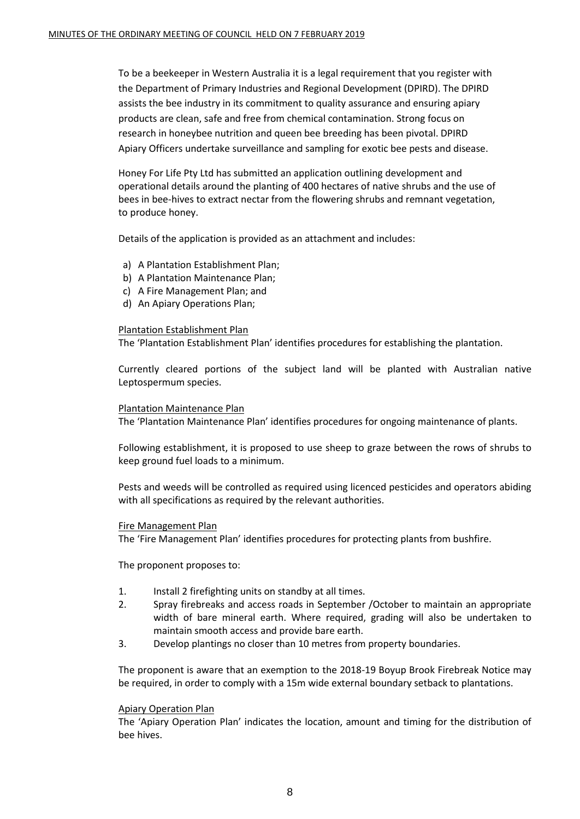To be a beekeeper in Western Australia it is a legal requirement that you register with the Department of Primary Industries and Regional Development (DPIRD). The DPIRD assists the bee industry in its commitment to quality assurance and ensuring apiary products are clean, safe and free from chemical contamination. Strong focus on research in honeybee nutrition and queen bee breeding has been pivotal. DPIRD Apiary Officers undertake surveillance and sampling for exotic bee pests and disease.

Honey For Life Pty Ltd has submitted an application outlining development and operational details around the planting of 400 hectares of native shrubs and the use of bees in bee-hives to extract nectar from the flowering shrubs and remnant vegetation, to produce honey.

Details of the application is provided as an attachment and includes:

- a) A Plantation Establishment Plan;
- b) A Plantation Maintenance Plan;
- c) A Fire Management Plan; and
- d) An Apiary Operations Plan;

#### Plantation Establishment Plan

The 'Plantation Establishment Plan' identifies procedures for establishing the plantation.

Currently cleared portions of the subject land will be planted with Australian native Leptospermum species.

#### Plantation Maintenance Plan

The 'Plantation Maintenance Plan' identifies procedures for ongoing maintenance of plants.

Following establishment, it is proposed to use sheep to graze between the rows of shrubs to keep ground fuel loads to a minimum.

Pests and weeds will be controlled as required using licenced pesticides and operators abiding with all specifications as required by the relevant authorities.

#### Fire Management Plan

The 'Fire Management Plan' identifies procedures for protecting plants from bushfire.

The proponent proposes to:

- 1. Install 2 firefighting units on standby at all times.
- 2. Spray firebreaks and access roads in September /October to maintain an appropriate width of bare mineral earth. Where required, grading will also be undertaken to maintain smooth access and provide bare earth.
- 3. Develop plantings no closer than 10 metres from property boundaries.

The proponent is aware that an exemption to the 2018-19 Boyup Brook Firebreak Notice may be required, in order to comply with a 15m wide external boundary setback to plantations.

#### Apiary Operation Plan

The 'Apiary Operation Plan' indicates the location, amount and timing for the distribution of bee hives.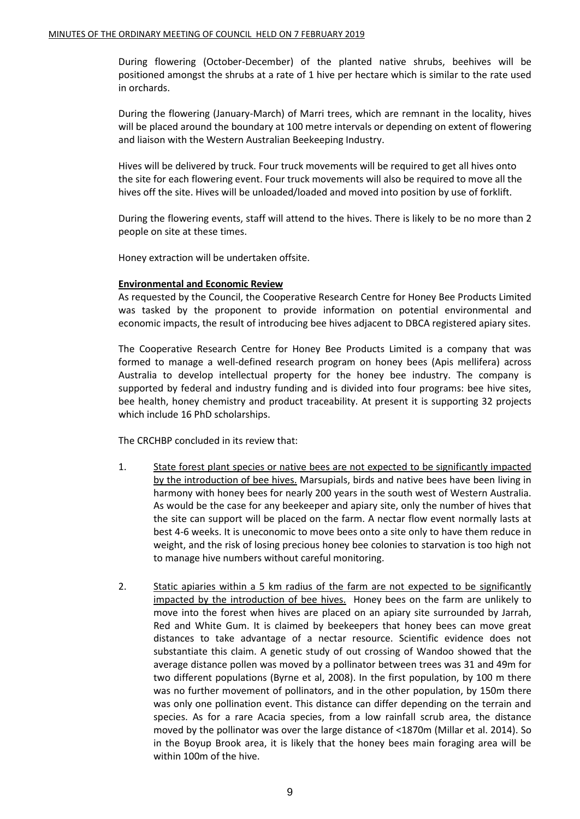During flowering (October-December) of the planted native shrubs, beehives will be positioned amongst the shrubs at a rate of 1 hive per hectare which is similar to the rate used in orchards.

During the flowering (January-March) of Marri trees, which are remnant in the locality, hives will be placed around the boundary at 100 metre intervals or depending on extent of flowering and liaison with the Western Australian Beekeeping Industry.

Hives will be delivered by truck. Four truck movements will be required to get all hives onto the site for each flowering event. Four truck movements will also be required to move all the hives off the site. Hives will be unloaded/loaded and moved into position by use of forklift.

During the flowering events, staff will attend to the hives. There is likely to be no more than 2 people on site at these times.

Honey extraction will be undertaken offsite.

#### **Environmental and Economic Review**

As requested by the Council, the Cooperative Research Centre for Honey Bee Products Limited was tasked by the proponent to provide information on potential environmental and economic impacts, the result of introducing bee hives adjacent to DBCA registered apiary sites.

The Cooperative Research Centre for Honey Bee Products Limited is a company that was formed to manage a well-defined research program on honey bees (Apis mellifera) across Australia to develop intellectual property for the honey bee industry. The company is supported by federal and industry funding and is divided into four programs: bee hive sites, bee health, honey chemistry and product traceability. At present it is supporting 32 projects which include 16 PhD scholarships.

The CRCHBP concluded in its review that:

- 1. State forest plant species or native bees are not expected to be significantly impacted by the introduction of bee hives. Marsupials, birds and native bees have been living in harmony with honey bees for nearly 200 years in the south west of Western Australia. As would be the case for any beekeeper and apiary site, only the number of hives that the site can support will be placed on the farm. A nectar flow event normally lasts at best 4-6 weeks. It is uneconomic to move bees onto a site only to have them reduce in weight, and the risk of losing precious honey bee colonies to starvation is too high not to manage hive numbers without careful monitoring.
- 2. Static apiaries within a 5 km radius of the farm are not expected to be significantly impacted by the introduction of bee hives. Honey bees on the farm are unlikely to move into the forest when hives are placed on an apiary site surrounded by Jarrah, Red and White Gum. It is claimed by beekeepers that honey bees can move great distances to take advantage of a nectar resource. Scientific evidence does not substantiate this claim. A genetic study of out crossing of Wandoo showed that the average distance pollen was moved by a pollinator between trees was 31 and 49m for two different populations (Byrne et al, 2008). In the first population, by 100 m there was no further movement of pollinators, and in the other population, by 150m there was only one pollination event. This distance can differ depending on the terrain and species. As for a rare Acacia species, from a low rainfall scrub area, the distance moved by the pollinator was over the large distance of <1870m (Millar et al. 2014). So in the Boyup Brook area, it is likely that the honey bees main foraging area will be within 100m of the hive.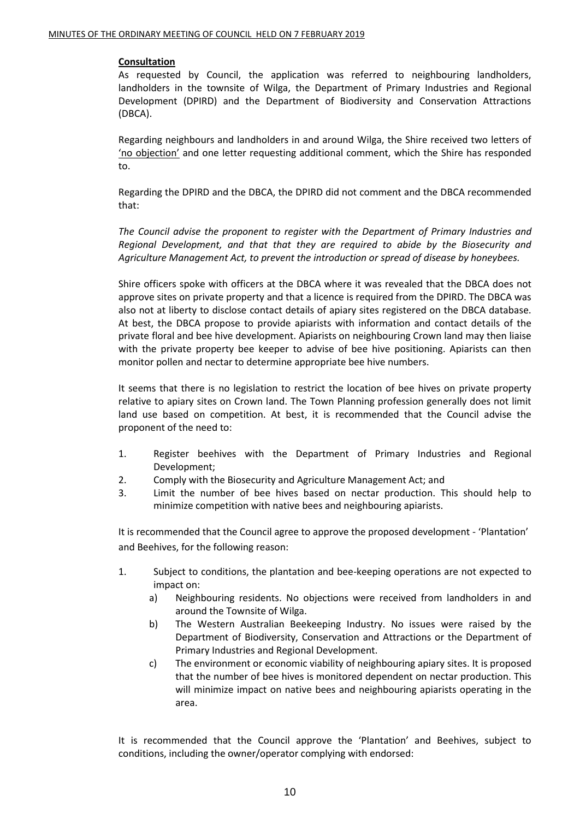#### **Consultation**

As requested by Council, the application was referred to neighbouring landholders, landholders in the townsite of Wilga, the Department of Primary Industries and Regional Development (DPIRD) and the Department of Biodiversity and Conservation Attractions (DBCA).

Regarding neighbours and landholders in and around Wilga, the Shire received two letters of 'no objection' and one letter requesting additional comment, which the Shire has responded to.

Regarding the DPIRD and the DBCA, the DPIRD did not comment and the DBCA recommended that:

*The Council advise the proponent to register with the Department of Primary Industries and Regional Development, and that that they are required to abide by the Biosecurity and Agriculture Management Act, to prevent the introduction or spread of disease by honeybees.*

Shire officers spoke with officers at the DBCA where it was revealed that the DBCA does not approve sites on private property and that a licence is required from the DPIRD. The DBCA was also not at liberty to disclose contact details of apiary sites registered on the DBCA database. At best, the DBCA propose to provide apiarists with information and contact details of the private floral and bee hive development. Apiarists on neighbouring Crown land may then liaise with the private property bee keeper to advise of bee hive positioning. Apiarists can then monitor pollen and nectar to determine appropriate bee hive numbers.

It seems that there is no legislation to restrict the location of bee hives on private property relative to apiary sites on Crown land. The Town Planning profession generally does not limit land use based on competition. At best, it is recommended that the Council advise the proponent of the need to:

- 1. Register beehives with the Department of Primary Industries and Regional Development;
- 2. Comply with the Biosecurity and Agriculture Management Act; and
- 3. Limit the number of bee hives based on nectar production. This should help to minimize competition with native bees and neighbouring apiarists.

It is recommended that the Council agree to approve the proposed development - 'Plantation' and Beehives, for the following reason:

- 1. Subject to conditions, the plantation and bee-keeping operations are not expected to impact on:
	- a) Neighbouring residents. No objections were received from landholders in and around the Townsite of Wilga.
	- b) The Western Australian Beekeeping Industry. No issues were raised by the Department of Biodiversity, Conservation and Attractions or the Department of Primary Industries and Regional Development.
	- c) The environment or economic viability of neighbouring apiary sites. It is proposed that the number of bee hives is monitored dependent on nectar production. This will minimize impact on native bees and neighbouring apiarists operating in the area.

It is recommended that the Council approve the 'Plantation' and Beehives, subject to conditions, including the owner/operator complying with endorsed: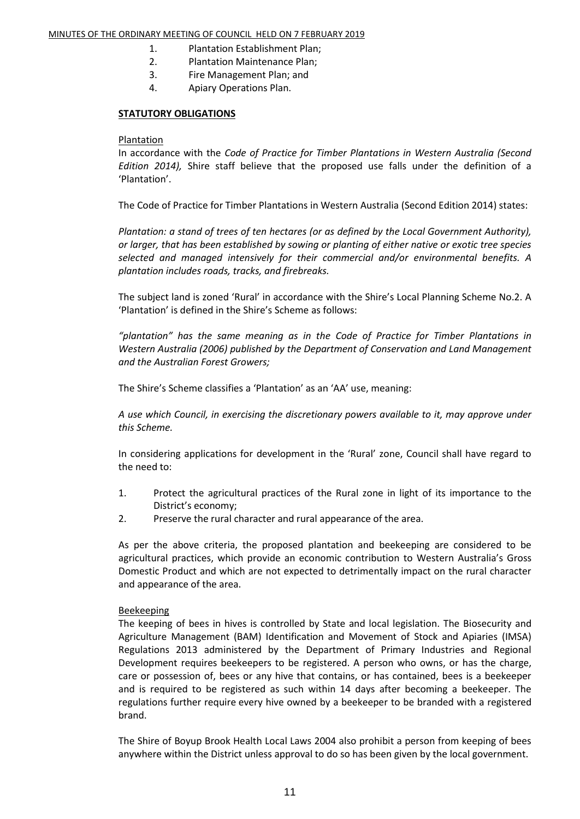#### MINUTES OF THE ORDINARY MEETING OF COUNCIL HELD ON 7 FEBRUARY 2019

- 1. Plantation Establishment Plan;
- 2. Plantation Maintenance Plan;
- 3. Fire Management Plan; and
- 4. Apiary Operations Plan.

#### **STATUTORY OBLIGATIONS**

#### Plantation

In accordance with the *Code of Practice for Timber Plantations in Western Australia (Second Edition 2014),* Shire staff believe that the proposed use falls under the definition of a 'Plantation'.

The Code of Practice for Timber Plantations in Western Australia (Second Edition 2014) states:

*Plantation: a stand of trees of ten hectares (or as defined by the Local Government Authority), or larger, that has been established by sowing or planting of either native or exotic tree species selected and managed intensively for their commercial and/or environmental benefits. A plantation includes roads, tracks, and firebreaks.*

The subject land is zoned 'Rural' in accordance with the Shire's Local Planning Scheme No.2. A 'Plantation' is defined in the Shire's Scheme as follows:

*"plantation" has the same meaning as in the Code of Practice for Timber Plantations in Western Australia (2006) published by the Department of Conservation and Land Management and the Australian Forest Growers;*

The Shire's Scheme classifies a 'Plantation' as an 'AA' use, meaning:

*A use which Council, in exercising the discretionary powers available to it, may approve under this Scheme.*

In considering applications for development in the 'Rural' zone, Council shall have regard to the need to:

- 1. Protect the agricultural practices of the Rural zone in light of its importance to the District's economy;
- 2. Preserve the rural character and rural appearance of the area.

As per the above criteria, the proposed plantation and beekeeping are considered to be agricultural practices, which provide an economic contribution to Western Australia's Gross Domestic Product and which are not expected to detrimentally impact on the rural character and appearance of the area.

#### **Beekeeping**

The keeping of bees in hives is controlled by State and local legislation. The Biosecurity and Agriculture Management (BAM) Identification and Movement of Stock and Apiaries (IMSA) Regulations 2013 administered by the Department of Primary Industries and Regional Development requires beekeepers to be registered. A person who owns, or has the charge, care or possession of, bees or any hive that contains, or has contained, bees is a beekeeper and is required to be registered as such within 14 days after becoming a beekeeper. The regulations further require every hive owned by a beekeeper to be branded with a registered brand.

The Shire of Boyup Brook Health Local Laws 2004 also prohibit a person from keeping of bees anywhere within the District unless approval to do so has been given by the local government.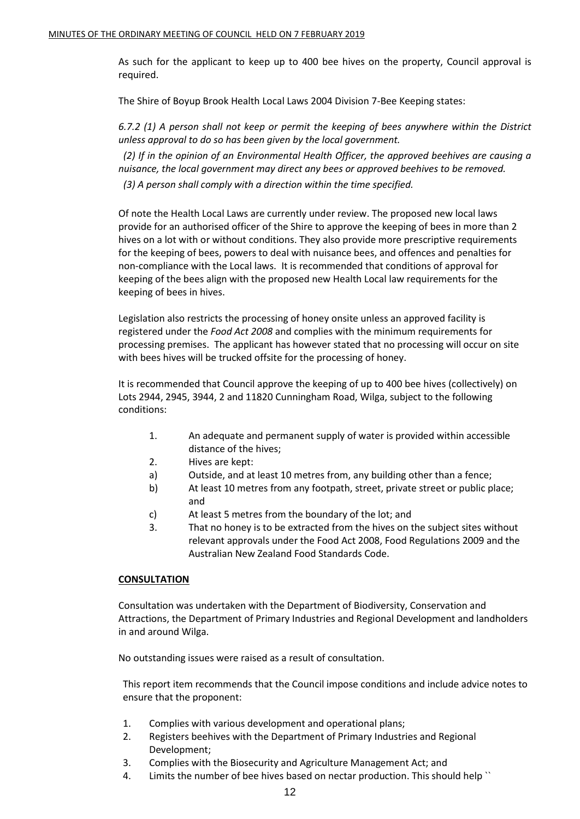As such for the applicant to keep up to 400 bee hives on the property, Council approval is required.

The Shire of Boyup Brook Health Local Laws 2004 Division 7-Bee Keeping states:

*6.7.2 (1) A person shall not keep or permit the keeping of bees anywhere within the District unless approval to do so has been given by the local government.*

 *(2) If in the opinion of an Environmental Health Officer, the approved beehives are causing a nuisance, the local government may direct any bees or approved beehives to be removed. (3) A person shall comply with a direction within the time specified.*

Of note the Health Local Laws are currently under review. The proposed new local laws provide for an authorised officer of the Shire to approve the keeping of bees in more than 2 hives on a lot with or without conditions. They also provide more prescriptive requirements for the keeping of bees, powers to deal with nuisance bees, and offences and penalties for non-compliance with the Local laws. It is recommended that conditions of approval for keeping of the bees align with the proposed new Health Local law requirements for the keeping of bees in hives.

Legislation also restricts the processing of honey onsite unless an approved facility is registered under the *Food Act 2008* and complies with the minimum requirements for processing premises. The applicant has however stated that no processing will occur on site with bees hives will be trucked offsite for the processing of honey.

It is recommended that Council approve the keeping of up to 400 bee hives (collectively) on Lots 2944, 2945, 3944, 2 and 11820 Cunningham Road, Wilga, subject to the following conditions:

- 1. An adequate and permanent supply of water is provided within accessible distance of the hives;
- 2. Hives are kept:
- a) Outside, and at least 10 metres from, any building other than a fence;
- b) At least 10 metres from any footpath, street, private street or public place; and
- c) At least 5 metres from the boundary of the lot; and
- 3. That no honey is to be extracted from the hives on the subject sites without relevant approvals under the Food Act 2008, Food Regulations 2009 and the Australian New Zealand Food Standards Code.

#### **CONSULTATION**

Consultation was undertaken with the Department of Biodiversity, Conservation and Attractions, the Department of Primary Industries and Regional Development and landholders in and around Wilga.

No outstanding issues were raised as a result of consultation.

This report item recommends that the Council impose conditions and include advice notes to ensure that the proponent:

- 1. Complies with various development and operational plans;
- 2. Registers beehives with the Department of Primary Industries and Regional Development;
- 3. Complies with the Biosecurity and Agriculture Management Act; and
- 4. Limits the number of bee hives based on nectar production. This should help ``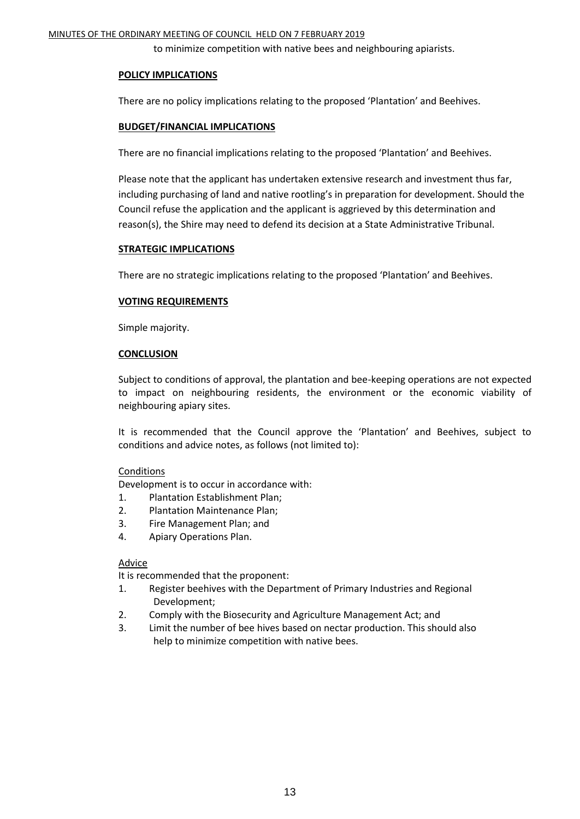to minimize competition with native bees and neighbouring apiarists.

#### **POLICY IMPLICATIONS**

There are no policy implications relating to the proposed 'Plantation' and Beehives.

#### **BUDGET/FINANCIAL IMPLICATIONS**

There are no financial implications relating to the proposed 'Plantation' and Beehives.

Please note that the applicant has undertaken extensive research and investment thus far, including purchasing of land and native rootling's in preparation for development. Should the Council refuse the application and the applicant is aggrieved by this determination and reason(s), the Shire may need to defend its decision at a State Administrative Tribunal.

#### **STRATEGIC IMPLICATIONS**

There are no strategic implications relating to the proposed 'Plantation' and Beehives.

#### **VOTING REQUIREMENTS**

Simple majority.

#### **CONCLUSION**

Subject to conditions of approval, the plantation and bee-keeping operations are not expected to impact on neighbouring residents, the environment or the economic viability of neighbouring apiary sites.

It is recommended that the Council approve the 'Plantation' and Beehives, subject to conditions and advice notes, as follows (not limited to):

#### **Conditions**

Development is to occur in accordance with:

- 1. Plantation Establishment Plan;
- 2. Plantation Maintenance Plan;
- 3. Fire Management Plan; and
- 4. Apiary Operations Plan.

#### Advice

It is recommended that the proponent:

- 1. Register beehives with the Department of Primary Industries and Regional Development;
- 2. Comply with the Biosecurity and Agriculture Management Act; and
- 3. Limit the number of bee hives based on nectar production. This should also help to minimize competition with native bees.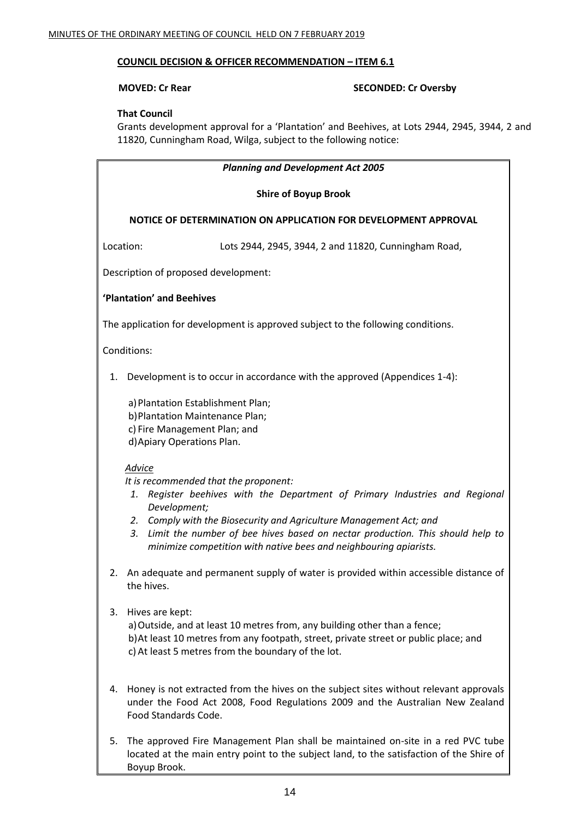#### **COUNCIL DECISION & OFFICER RECOMMENDATION – ITEM 6.1**

#### **MOVED: Cr Rear SECONDED: Cr Oversby**

#### **That Council**

Grants development approval for a 'Plantation' and Beehives, at Lots 2944, 2945, 3944, 2 and 11820, Cunningham Road, Wilga, subject to the following notice:

#### *Planning and Development Act 2005*

#### **Shire of Boyup Brook**

#### **NOTICE OF DETERMINATION ON APPLICATION FOR DEVELOPMENT APPROVAL**

Location: Lots 2944, 2945, 3944, 2 and 11820, Cunningham Road,

Description of proposed development:

#### **'Plantation' and Beehives**

The application for development is approved subject to the following conditions.

Conditions:

1. Development is to occur in accordance with the approved (Appendices 1-4):

a) Plantation Establishment Plan; b)Plantation Maintenance Plan; c) Fire Management Plan; and d)Apiary Operations Plan.

#### *Advice*

*It is recommended that the proponent:*

- *1. Register beehives with the Department of Primary Industries and Regional Development;*
- *2. Comply with the Biosecurity and Agriculture Management Act; and*
- *3. Limit the number of bee hives based on nectar production. This should help to minimize competition with native bees and neighbouring apiarists.*
- 2. An adequate and permanent supply of water is provided within accessible distance of the hives.
- 3. Hives are kept:

a)Outside, and at least 10 metres from, any building other than a fence; b)At least 10 metres from any footpath, street, private street or public place; and c) At least 5 metres from the boundary of the lot.

- 4. Honey is not extracted from the hives on the subject sites without relevant approvals under the Food Act 2008, Food Regulations 2009 and the Australian New Zealand Food Standards Code.
- 5. The approved Fire Management Plan shall be maintained on-site in a red PVC tube located at the main entry point to the subject land, to the satisfaction of the Shire of Boyup Brook.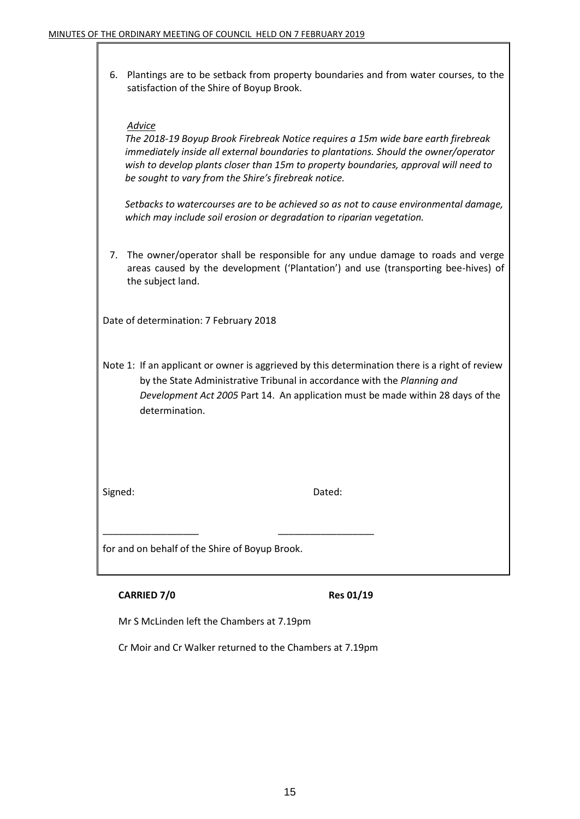6. Plantings are to be setback from property boundaries and from water courses, to the satisfaction of the Shire of Boyup Brook.

#### *Advice*

*The 2018-19 Boyup Brook Firebreak Notice requires a 15m wide bare earth firebreak immediately inside all external boundaries to plantations. Should the owner/operator wish to develop plants closer than 15m to property boundaries, approval will need to be sought to vary from the Shire's firebreak notice.*

*Setbacks to watercourses are to be achieved so as not to cause environmental damage, which may include soil erosion or degradation to riparian vegetation.*

7. The owner/operator shall be responsible for any undue damage to roads and verge areas caused by the development ('Plantation') and use (transporting bee-hives) of the subject land.

Date of determination: 7 February 2018

Note 1: If an applicant or owner is aggrieved by this determination there is a right of review by the State Administrative Tribunal in accordance with the *Planning and Development Act 2005* Part 14. An application must be made within 28 days of the determination.

Signed: Dated: Dated:

for and on behalf of the Shire of Boyup Brook.

#### **CARRIED 7/0 Res 01/19**

Mr S McLinden left the Chambers at 7.19pm

Cr Moir and Cr Walker returned to the Chambers at 7.19pm

\_\_\_\_\_\_\_\_\_\_\_\_\_\_\_\_\_\_ \_\_\_\_\_\_\_\_\_\_\_\_\_\_\_\_\_\_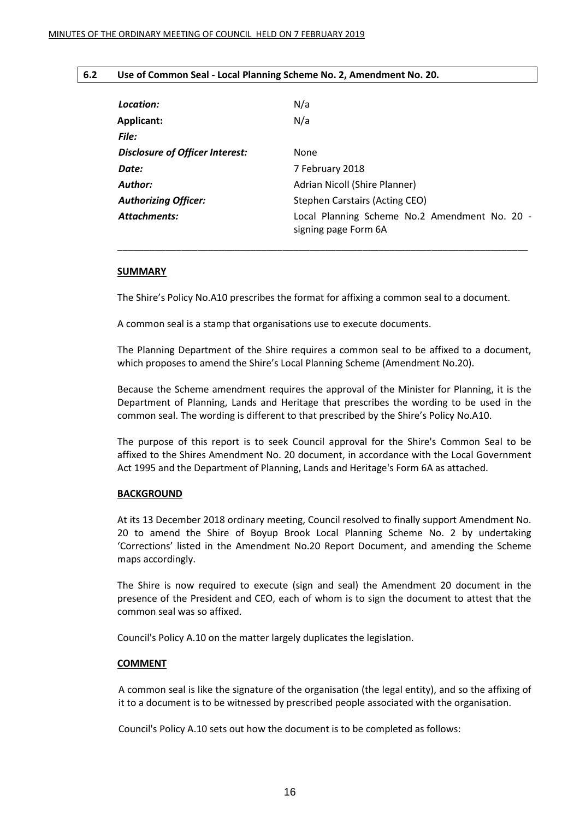#### **6.2 Use of Common Seal - Local Planning Scheme No. 2, Amendment No. 20.**

| Location:                       | N/a                                                                   |
|---------------------------------|-----------------------------------------------------------------------|
| <b>Applicant:</b>               | N/a                                                                   |
| File:                           |                                                                       |
| Disclosure of Officer Interest: | None                                                                  |
| Date:                           | 7 February 2018                                                       |
| Author:                         | Adrian Nicoll (Shire Planner)                                         |
| <b>Authorizing Officer:</b>     | Stephen Carstairs (Acting CEO)                                        |
| <b>Attachments:</b>             | Local Planning Scheme No.2 Amendment No. 20 -<br>signing page Form 6A |

\_\_\_\_\_\_\_\_\_\_\_\_\_\_\_\_\_\_\_\_\_\_\_\_\_\_\_\_\_\_\_\_\_\_\_\_\_\_\_\_\_\_\_\_\_\_\_\_\_\_\_\_\_\_\_\_\_\_\_\_\_\_\_\_\_\_\_\_\_\_\_\_\_\_\_\_\_

#### **SUMMARY**

The Shire's Policy No.A10 prescribes the format for affixing a common seal to a document.

A common seal is a stamp that organisations use to execute documents.

The Planning Department of the Shire requires a common seal to be affixed to a document, which proposes to amend the Shire's Local Planning Scheme (Amendment No.20).

Because the Scheme amendment requires the approval of the Minister for Planning, it is the Department of Planning, Lands and Heritage that prescribes the wording to be used in the common seal. The wording is different to that prescribed by the Shire's Policy No.A10.

The purpose of this report is to seek Council approval for the Shire's Common Seal to be affixed to the Shires Amendment No. 20 document, in accordance with the Local Government Act 1995 and the Department of Planning, Lands and Heritage's Form 6A as attached.

#### **BACKGROUND**

At its 13 December 2018 ordinary meeting, Council resolved to finally support Amendment No. 20 to amend the Shire of Boyup Brook Local Planning Scheme No. 2 by undertaking 'Corrections' listed in the Amendment No.20 Report Document, and amending the Scheme maps accordingly.

The Shire is now required to execute (sign and seal) the Amendment 20 document in the presence of the President and CEO, each of whom is to sign the document to attest that the common seal was so affixed.

Council's Policy A.10 on the matter largely duplicates the legislation.

#### **COMMENT**

A common seal is like the signature of the organisation (the legal entity), and so the affixing of it to a document is to be witnessed by prescribed people associated with the organisation.

Council's Policy A.10 sets out how the document is to be completed as follows: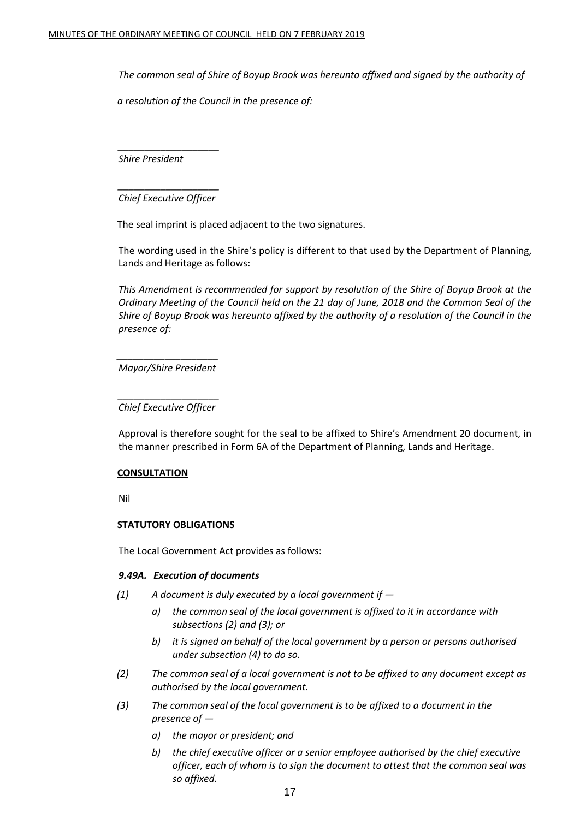*The common seal of Shire of Boyup Brook was hereunto affixed and signed by the authority of* 

*a resolution of the Council in the presence of:*

*\_\_\_\_\_\_\_\_\_\_\_\_\_\_\_\_\_\_\_ Shire President*

*\_\_\_\_\_\_\_\_\_\_\_\_\_\_\_\_\_\_\_ Chief Executive Officer*

The seal imprint is placed adjacent to the two signatures.

The wording used in the Shire's policy is different to that used by the Department of Planning, Lands and Heritage as follows:

*This Amendment is recommended for support by resolution of the Shire of Boyup Brook at the Ordinary Meeting of the Council held on the 21 day of June, 2018 and the Common Seal of the Shire of Boyup Brook was hereunto affixed by the authority of a resolution of the Council in the presence of:*

*\_\_\_\_\_\_\_\_\_\_\_\_\_\_\_\_\_\_\_ Mayor/Shire President*

*\_\_\_\_\_\_\_\_\_\_\_\_\_\_\_\_\_\_\_ Chief Executive Officer*

Approval is therefore sought for the seal to be affixed to Shire's Amendment 20 document, in the manner prescribed in Form 6A of the Department of Planning, Lands and Heritage.

#### **CONSULTATION**

Nil

#### **STATUTORY OBLIGATIONS**

The Local Government Act provides as follows:

#### *9.49A. Execution of documents*

- *(1) A document is duly executed by a local government if* 
	- *a) the common seal of the local government is affixed to it in accordance with subsections (2) and (3); or*
	- *b) it is signed on behalf of the local government by a person or persons authorised under subsection (4) to do so.*
- *(2) The common seal of a local government is not to be affixed to any document except as authorised by the local government.*
- *(3) The common seal of the local government is to be affixed to a document in the presence of* 
	- *a) the mayor or president; and*
	- *b) the chief executive officer or a senior employee authorised by the chief executive officer, each of whom is to sign the document to attest that the common seal was so affixed.*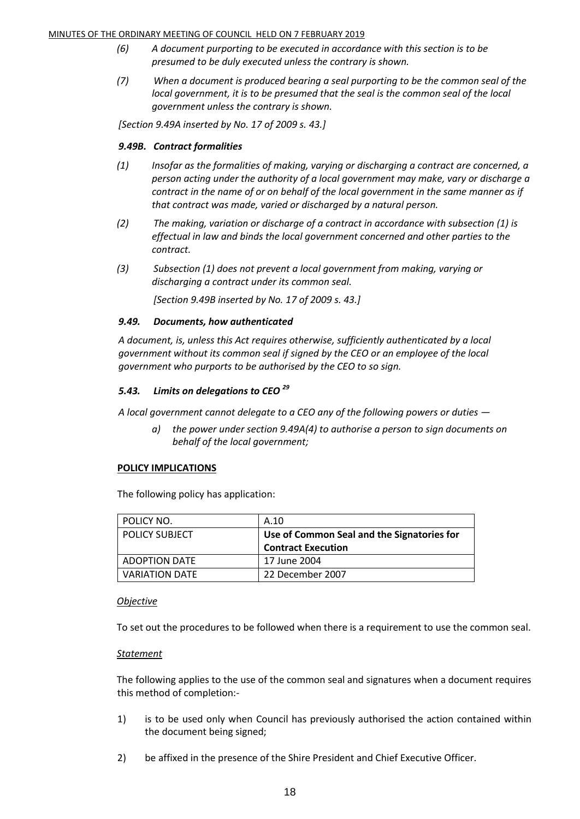#### MINUTES OF THE ORDINARY MEETING OF COUNCIL HELD ON 7 FEBRUARY 2019

- *(6) A document purporting to be executed in accordance with this section is to be presumed to be duly executed unless the contrary is shown.*
- *(7) When a document is produced bearing a seal purporting to be the common seal of the local government, it is to be presumed that the seal is the common seal of the local government unless the contrary is shown.*

*[Section 9.49A inserted by No. 17 of 2009 s. 43.]*

#### *9.49B. Contract formalities*

- *(1) Insofar as the formalities of making, varying or discharging a contract are concerned, a person acting under the authority of a local government may make, vary or discharge a contract in the name of or on behalf of the local government in the same manner as if that contract was made, varied or discharged by a natural person.*
- *(2) The making, variation or discharge of a contract in accordance with subsection (1) is effectual in law and binds the local government concerned and other parties to the contract.*
- *(3) Subsection (1) does not prevent a local government from making, varying or discharging a contract under its common seal.*

*[Section 9.49B inserted by No. 17 of 2009 s. 43.]*

#### *9.49. Documents, how authenticated*

*A document, is, unless this Act requires otherwise, sufficiently authenticated by a local government without its common seal if signed by the CEO or an employee of the local government who purports to be authorised by the CEO to so sign.*

#### *5.43. Limits on delegations to CEO <sup>29</sup>*

*A local government cannot delegate to a CEO any of the following powers or duties —*

*a) the power under section 9.49A(4) to authorise a person to sign documents on behalf of the local government;*

#### **POLICY IMPLICATIONS**

The following policy has application:

| POLICY NO.            | A.10                                       |
|-----------------------|--------------------------------------------|
| <b>POLICY SUBJECT</b> | Use of Common Seal and the Signatories for |
|                       | <b>Contract Execution</b>                  |
| <b>ADOPTION DATE</b>  | 17 June 2004                               |
| <b>VARIATION DATE</b> | 22 December 2007                           |

#### *Objective*

To set out the procedures to be followed when there is a requirement to use the common seal.

#### *Statement*

The following applies to the use of the common seal and signatures when a document requires this method of completion:-

- 1) is to be used only when Council has previously authorised the action contained within the document being signed;
- 2) be affixed in the presence of the Shire President and Chief Executive Officer.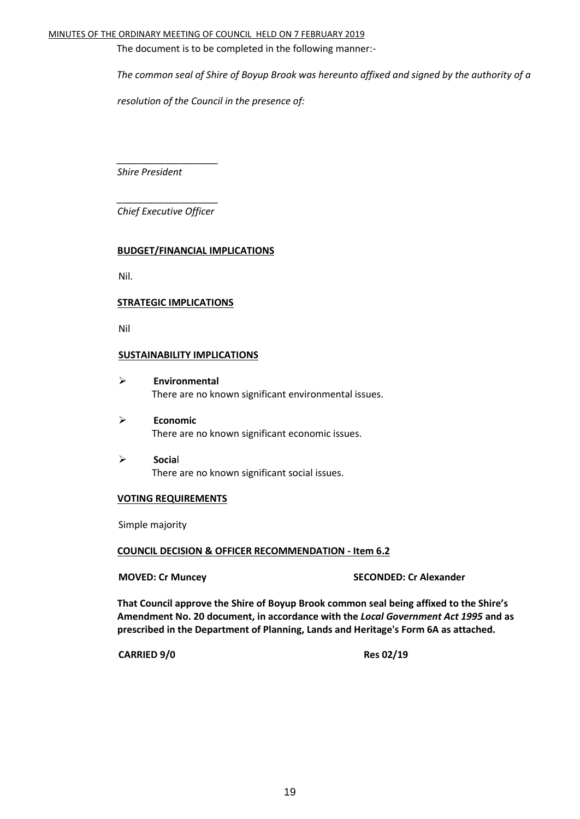#### MINUTES OF THE ORDINARY MEETING OF COUNCIL HELD ON 7 FEBRUARY 2019

The document is to be completed in the following manner:-

*The common seal of Shire of Boyup Brook was hereunto affixed and signed by the authority of a* 

*resolution of the Council in the presence of:*

*Shire President*

*\_\_\_\_\_\_\_\_\_\_\_\_\_\_\_\_\_\_\_ Chief Executive Officer*

*\_\_\_\_\_\_\_\_\_\_\_\_\_\_\_\_\_\_\_*

#### **BUDGET/FINANCIAL IMPLICATIONS**

Nil.

#### **STRATEGIC IMPLICATIONS**

Nil

#### **SUSTAINABILITY IMPLICATIONS**

- **Environmental** There are no known significant environmental issues.
- **Economic** There are no known significant economic issues.
- **Socia**l There are no known significant social issues.

#### **VOTING REQUIREMENTS**

Simple majority

#### **COUNCIL DECISION & OFFICER RECOMMENDATION - Item 6.2**

**MOVED: Cr Muncey SECONDED: Cr Alexander**

**That Council approve the Shire of Boyup Brook common seal being affixed to the Shire's Amendment No. 20 document, in accordance with the** *Local Government Act 1995* **and as prescribed in the Department of Planning, Lands and Heritage's Form 6A as attached.** 

**CARRIED 9/0 Res 02/19**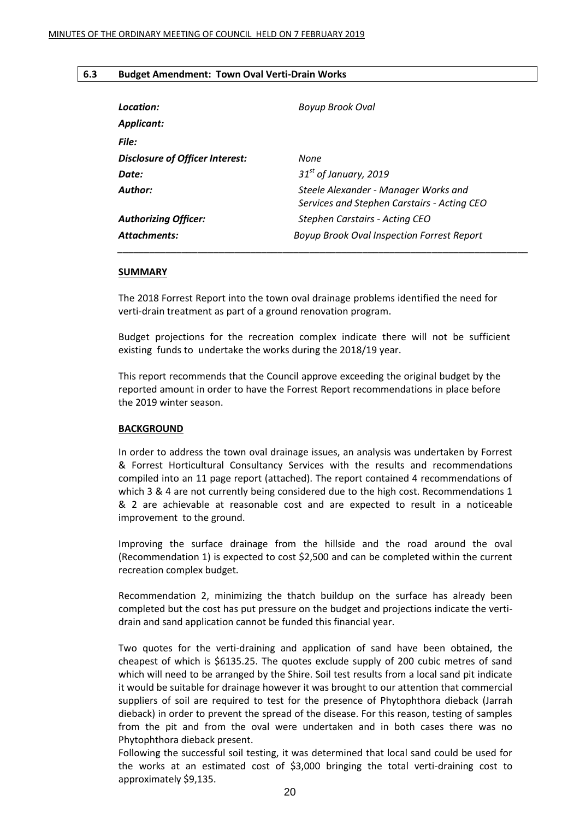#### **6.3 Budget Amendment: Town Oval Verti-Drain Works**

| Location:<br>Applicant:         | Boyup Brook Oval                                                                    |
|---------------------------------|-------------------------------------------------------------------------------------|
| File:                           |                                                                                     |
| Disclosure of Officer Interest: | None                                                                                |
| Date:                           | $31st$ of January, 2019                                                             |
| Author:                         | Steele Alexander - Manager Works and<br>Services and Stephen Carstairs - Acting CEO |
| <b>Authorizing Officer:</b>     | Stephen Carstairs - Acting CEO                                                      |
| Attachments:                    | <b>Boyup Brook Oval Inspection Forrest Report</b>                                   |

#### **SUMMARY**

The 2018 Forrest Report into the town oval drainage problems identified the need for verti-drain treatment as part of a ground renovation program.

Budget projections for the recreation complex indicate there will not be sufficient existing funds to undertake the works during the 2018/19 year.

This report recommends that the Council approve exceeding the original budget by the reported amount in order to have the Forrest Report recommendations in place before the 2019 winter season.

#### **BACKGROUND**

In order to address the town oval drainage issues, an analysis was undertaken by Forrest & Forrest Horticultural Consultancy Services with the results and recommendations compiled into an 11 page report (attached). The report contained 4 recommendations of which 3 & 4 are not currently being considered due to the high cost. Recommendations 1 & 2 are achievable at reasonable cost and are expected to result in a noticeable improvement to the ground.

Improving the surface drainage from the hillside and the road around the oval (Recommendation 1) is expected to cost \$2,500 and can be completed within the current recreation complex budget.

Recommendation 2, minimizing the thatch buildup on the surface has already been completed but the cost has put pressure on the budget and projections indicate the vertidrain and sand application cannot be funded this financial year.

Two quotes for the verti-draining and application of sand have been obtained, the cheapest of which is \$6135.25. The quotes exclude supply of 200 cubic metres of sand which will need to be arranged by the Shire. Soil test results from a local sand pit indicate it would be suitable for drainage however it was brought to our attention that commercial suppliers of soil are required to test for the presence of Phytophthora dieback (Jarrah dieback) in order to prevent the spread of the disease. For this reason, testing of samples from the pit and from the oval were undertaken and in both cases there was no Phytophthora dieback present.

Following the successful soil testing, it was determined that local sand could be used for the works at an estimated cost of \$3,000 bringing the total verti-draining cost to approximately \$9,135.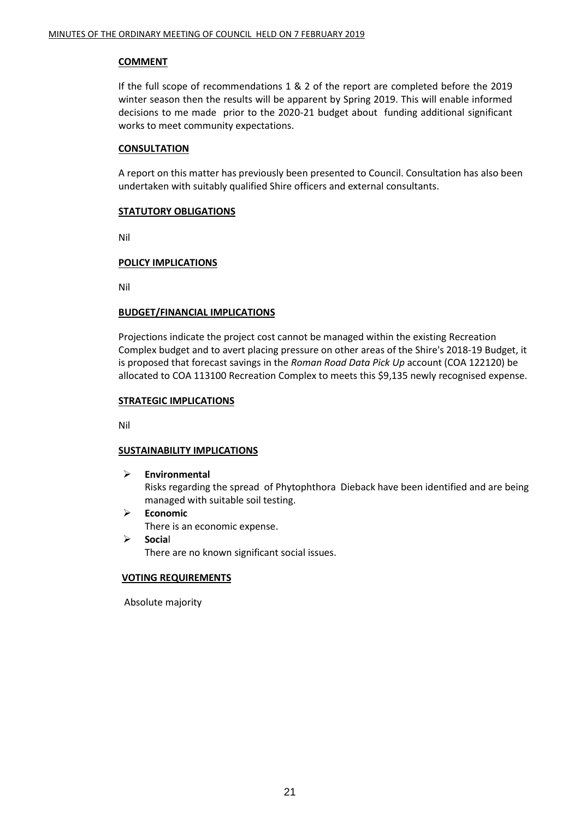#### **COMMENT**

If the full scope of recommendations 1 & 2 of the report are completed before the 2019 winter season then the results will be apparent by Spring 2019. This will enable informed decisions to me made prior to the 2020-21 budget about funding additional significant works to meet community expectations.

#### **CONSULTATION**

A report on this matter has previously been presented to Council. Consultation has also been undertaken with suitably qualified Shire officers and external consultants.

#### **STATUTORY OBLIGATIONS**

Nil

#### **POLICY IMPLICATIONS**

Nil

#### **BUDGET/FINANCIAL IMPLICATIONS**

Projections indicate the project cost cannot be managed within the existing Recreation Complex budget and to avert placing pressure on other areas of the Shire's 2018-19 Budget, it is proposed that forecast savings in the *Roman Road Data Pick Up* account (COA 122120) be allocated to COA 113100 Recreation Complex to meets this \$9,135 newly recognised expense.

#### **STRATEGIC IMPLICATIONS**

Nil

#### **SUSTAINABILITY IMPLICATIONS**

**Environmental**

Risks regarding the spread of Phytophthora Dieback have been identified and are being managed with suitable soil testing.

- **Economic**
	- There is an economic expense.
- **Socia**l There are no known significant social issues.

#### **VOTING REQUIREMENTS**

Absolute majority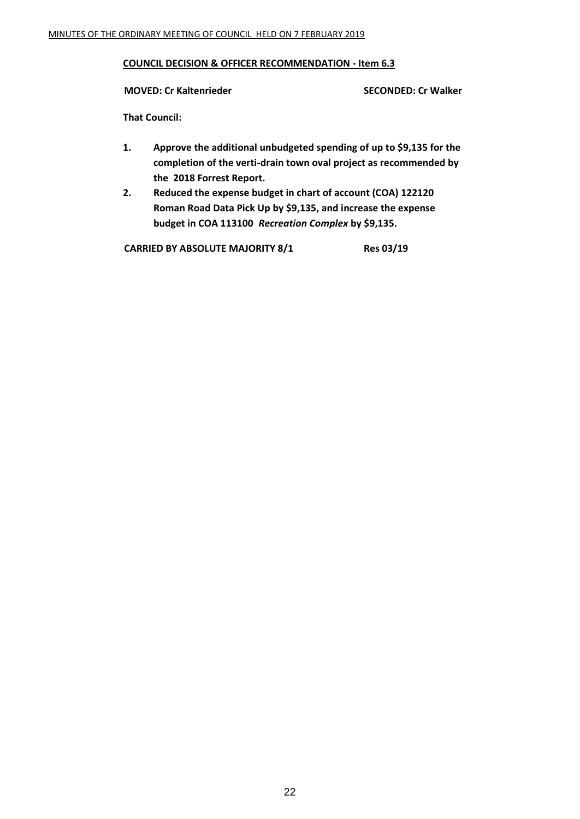#### **COUNCIL DECISION & OFFICER RECOMMENDATION - Item 6.3**

#### **MOVED: Cr Kaltenrieder SECONDED: Cr Walker**

**That Council:**

- **1. Approve the additional unbudgeted spending of up to \$9,135 for the completion of the verti-drain town oval project as recommended by the 2018 Forrest Report.**
- **2. Reduced the expense budget in chart of account (COA) 122120 Roman Road Data Pick Up by \$9,135, and increase the expense budget in COA 113100** *Recreation Complex* **by \$9,135.**

**CARRIED BY ABSOLUTE MAJORITY 8/1 Res 03/19**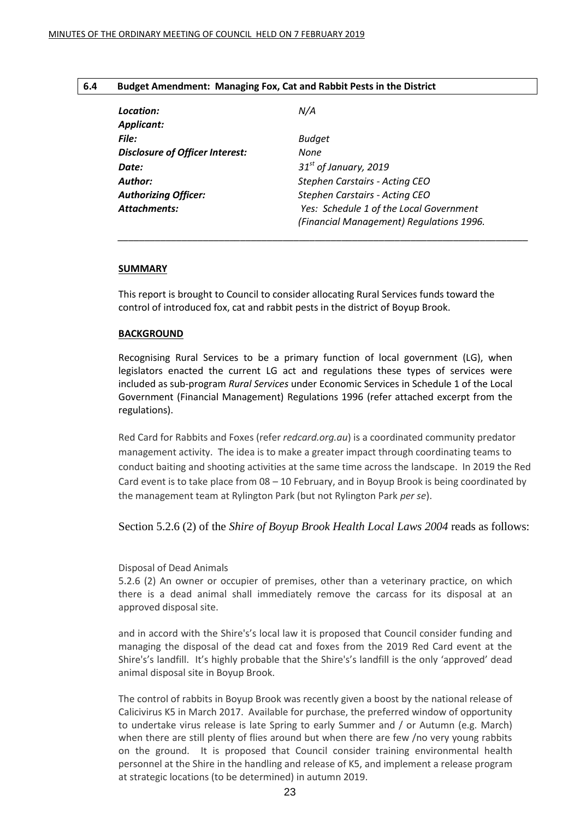#### **6.4 Budget Amendment: Managing Fox, Cat and Rabbit Pests in the District**

| Location:                              | N/A                                                                                 |
|----------------------------------------|-------------------------------------------------------------------------------------|
| <b>Applicant:</b>                      |                                                                                     |
| File:                                  | <b>Budget</b>                                                                       |
| <b>Disclosure of Officer Interest:</b> | None                                                                                |
| Date:                                  | $31st$ of January, 2019                                                             |
| Author:                                | <b>Stephen Carstairs - Acting CEO</b>                                               |
| <b>Authorizing Officer:</b>            | Stephen Carstairs - Acting CEO                                                      |
| <b>Attachments:</b>                    | Yes: Schedule 1 of the Local Government<br>(Financial Management) Regulations 1996. |

*\_\_\_\_\_\_\_\_\_\_\_\_\_\_\_\_\_\_\_\_\_\_\_\_\_\_\_\_\_\_\_\_\_\_\_\_\_\_\_\_\_\_\_\_\_\_\_\_\_\_\_\_\_\_\_\_\_\_\_\_\_\_\_\_\_\_\_\_\_\_\_\_\_\_\_\_\_*

#### **SUMMARY**

This report is brought to Council to consider allocating Rural Services funds toward the control of introduced fox, cat and rabbit pests in the district of Boyup Brook.

#### **BACKGROUND**

Recognising Rural Services to be a primary function of local government (LG), when legislators enacted the current LG act and regulations these types of services were included as sub-program *Rural Services* under Economic Services in Schedule 1 of the Local Government (Financial Management) Regulations 1996 (refer attached excerpt from the regulations).

Red Card for Rabbits and Foxes (refer *redcard.org.au*) is a coordinated community predator management activity. The idea is to make a greater impact through coordinating teams to conduct baiting and shooting activities at the same time across the landscape. In 2019 the Red Card event is to take place from 08 – 10 February, and in Boyup Brook is being coordinated by the management team at Rylington Park (but not Rylington Park *per se*).

#### Section 5.2.6 (2) of the *Shire of Boyup Brook Health Local Laws 2004* reads as follows:

#### Disposal of Dead Animals

5.2.6 (2) An owner or occupier of premises, other than a veterinary practice, on which there is a dead animal shall immediately remove the carcass for its disposal at an approved disposal site.

and in accord with the Shire's's local law it is proposed that Council consider funding and managing the disposal of the dead cat and foxes from the 2019 Red Card event at the Shire's's landfill. It's highly probable that the Shire's's landfill is the only 'approved' dead animal disposal site in Boyup Brook.

The control of rabbits in Boyup Brook was recently given a boost by the national release of Calicivirus K5 in March 2017. Available for purchase, the preferred window of opportunity to undertake virus release is late Spring to early Summer and / or Autumn (e.g. March) when there are still plenty of flies around but when there are few /no very young rabbits on the ground. It is proposed that Council consider training environmental health personnel at the Shire in the handling and release of K5, and implement a release program at strategic locations (to be determined) in autumn 2019.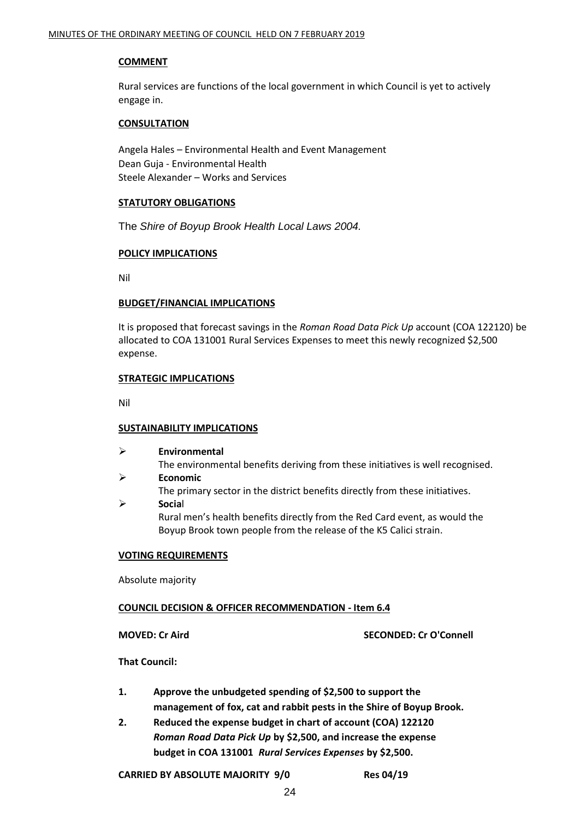#### **COMMENT**

Rural services are functions of the local government in which Council is yet to actively engage in.

#### **CONSULTATION**

Angela Hales – Environmental Health and Event Management Dean Guja - Environmental Health Steele Alexander – Works and Services

#### **STATUTORY OBLIGATIONS**

The *Shire of Boyup Brook Health Local Laws 2004.*

#### **POLICY IMPLICATIONS**

Nil

#### **BUDGET/FINANCIAL IMPLICATIONS**

It is proposed that forecast savings in the *Roman Road Data Pick Up* account (COA 122120) be allocated to COA 131001 Rural Services Expenses to meet this newly recognized \$2,500 expense.

#### **STRATEGIC IMPLICATIONS**

Nil

#### **SUSTAINABILITY IMPLICATIONS**

| ≻ | Environmental                                                                  |
|---|--------------------------------------------------------------------------------|
|   | The environmental benefits deriving from these initiatives is well recognised. |
| ➤ | <b>Economic</b>                                                                |
|   | The primary sector in the district benefits directly from these initiatives.   |
| ≻ | Social                                                                         |
|   | Rural men's health benefits directly from the Red Card event, as would the     |
|   | Boyup Brook town people from the release of the K5 Calici strain.              |

#### **VOTING REQUIREMENTS**

Absolute majority

#### **COUNCIL DECISION & OFFICER RECOMMENDATION - Item 6.4**

**MOVED: Cr Aird SECONDED: Cr O'Connell**

**That Council:**

- **1. Approve the unbudgeted spending of \$2,500 to support the management of fox, cat and rabbit pests in the Shire of Boyup Brook.**
- **2. Reduced the expense budget in chart of account (COA) 122120**  *Roman Road Data Pick Up* **by \$2,500, and increase the expense budget in COA 131001** *Rural Services Expenses* **by \$2,500.**

**CARRIED BY ABSOLUTE MAJORITY 9/0 Res 04/19**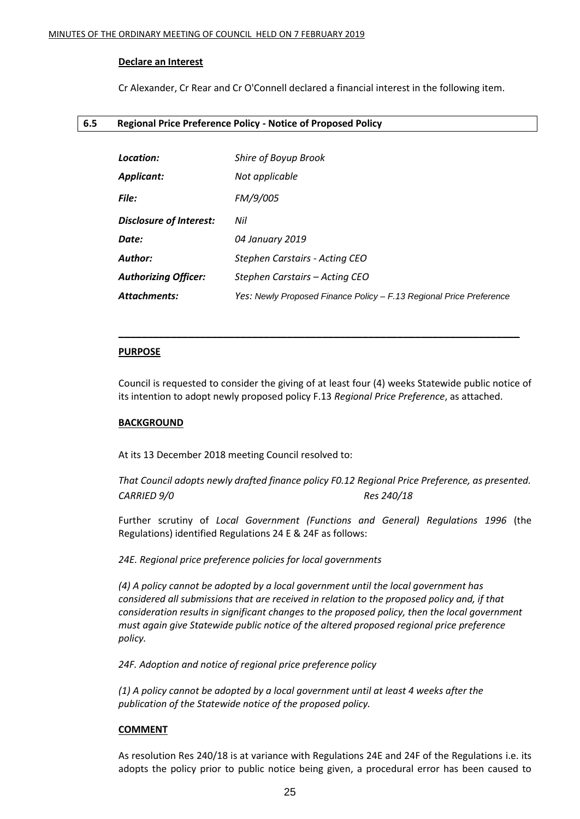#### **Declare an Interest**

Cr Alexander, Cr Rear and Cr O'Connell declared a financial interest in the following item.

#### **6.5 Regional Price Preference Policy - Notice of Proposed Policy**

| Location:                   | Shire of Boyup Brook                                                |
|-----------------------------|---------------------------------------------------------------------|
| Applicant:                  | Not applicable                                                      |
| <b>File:</b>                | FM/9/005                                                            |
| Disclosure of Interest:     | Nil                                                                 |
| Date:                       | 04 January 2019                                                     |
| Author:                     | Stephen Carstairs - Acting CEO                                      |
| <b>Authorizing Officer:</b> | Stephen Carstairs - Acting CEO                                      |
| Attachments:                | Yes: Newly Proposed Finance Policy - F.13 Regional Price Preference |

#### **PURPOSE**

Council is requested to consider the giving of at least four (4) weeks Statewide public notice of its intention to adopt newly proposed policy F.13 *Regional Price Preference*, as attached.

**\_\_\_\_\_\_\_\_\_\_\_\_\_\_\_\_\_\_\_\_\_\_\_\_\_\_\_\_\_\_\_\_\_\_\_\_\_\_\_\_\_\_\_\_\_\_\_\_\_\_\_\_\_\_\_\_\_\_\_\_\_\_\_\_\_\_\_\_\_**

#### **BACKGROUND**

At its 13 December 2018 meeting Council resolved to:

*That Council adopts newly drafted finance policy F0.12 Regional Price Preference, as presented. CARRIED 9/0 Res 240/18*

Further scrutiny of *Local Government (Functions and General) Regulations 1996* (the Regulations) identified Regulations 24 E & 24F as follows:

*24E. Regional price preference policies for local governments*

*(4) A policy cannot be adopted by a local government until the local government has considered all submissions that are received in relation to the proposed policy and, if that consideration results in significant changes to the proposed policy, then the local government must again give Statewide public notice of the altered proposed regional price preference policy.*

*24F. Adoption and notice of regional price preference policy*

*(1) A policy cannot be adopted by a local government until at least 4 weeks after the publication of the Statewide notice of the proposed policy.*

#### **COMMENT**

As resolution Res 240/18 is at variance with Regulations 24E and 24F of the Regulations i.e. its adopts the policy prior to public notice being given, a procedural error has been caused to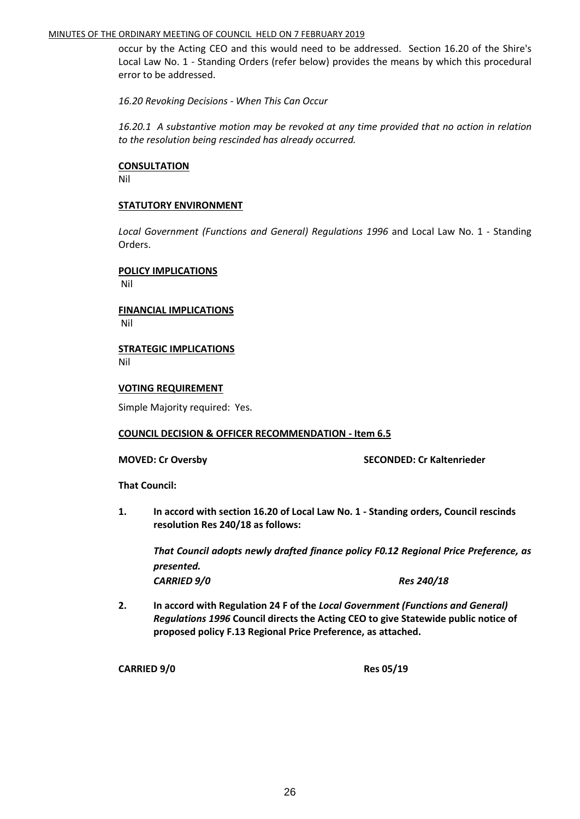#### MINUTES OF THE ORDINARY MEETING OF COUNCIL HELD ON 7 FEBRUARY 2019

occur by the Acting CEO and this would need to be addressed. Section 16.20 of the Shire's Local Law No. 1 - Standing Orders (refer below) provides the means by which this procedural error to be addressed.

*16.20 Revoking Decisions - When This Can Occur*

*16.20.1 A substantive motion may be revoked at any time provided that no action in relation to the resolution being rescinded has already occurred.*

#### **CONSULTATION**

Nil

#### **STATUTORY ENVIRONMENT**

*Local Government (Functions and General) Regulations 1996* and Local Law No. 1 - Standing Orders.

#### **POLICY IMPLICATIONS**

Nil

#### **FINANCIAL IMPLICATIONS** Nil

#### **STRATEGIC IMPLICATIONS** Nil

#### **VOTING REQUIREMENT**

Simple Majority required: Yes.

#### **COUNCIL DECISION & OFFICER RECOMMENDATION - Item 6.5**

**MOVED: Cr Oversby SECONDED: Cr Kaltenrieder**

**That Council:**

**1. In accord with section 16.20 of Local Law No. 1 - Standing orders, Council rescinds resolution Res 240/18 as follows:**

*That Council adopts newly drafted finance policy F0.12 Regional Price Preference, as presented. CARRIED 9/0 Res 240/18*

**2. In accord with Regulation 24 F of the** *Local Government (Functions and General) Regulations 1996* **Council directs the Acting CEO to give Statewide public notice of proposed policy F.13 Regional Price Preference, as attached.** 

**CARRIED 9/0 Res 05/19**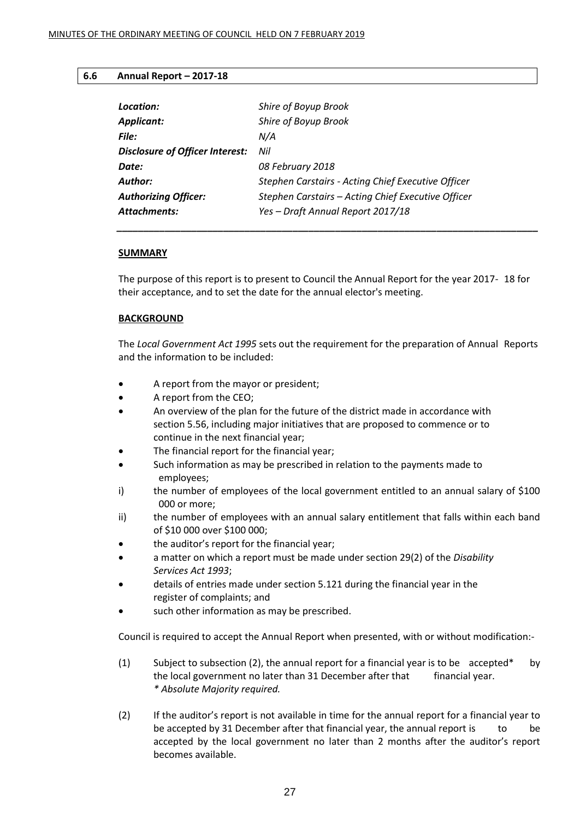#### **6.6 Annual Report – 2017-18**

| Location:                              | Shire of Boyup Brook                               |
|----------------------------------------|----------------------------------------------------|
| <b>Applicant:</b>                      | Shire of Boyup Brook                               |
| File:                                  | N/A                                                |
| <b>Disclosure of Officer Interest:</b> | Nil                                                |
| Date:                                  | 08 February 2018                                   |
| Author:                                | Stephen Carstairs - Acting Chief Executive Officer |
| <b>Authorizing Officer:</b>            | Stephen Carstairs - Acting Chief Executive Officer |
| Attachments:                           | Yes - Draft Annual Report 2017/18                  |

#### **SUMMARY**

The purpose of this report is to present to Council the Annual Report for the year 2017- 18 for their acceptance, and to set the date for the annual elector's meeting.

*\_\_\_\_\_\_\_\_\_\_\_\_\_\_\_\_\_\_\_\_\_\_\_\_\_\_\_\_\_\_\_\_\_\_\_\_\_\_\_\_\_\_\_\_\_\_\_\_\_\_\_\_\_\_\_\_\_\_\_\_\_\_\_\_\_\_\_\_\_\_\_\_\_\_\_\_\_\_\_*

#### **BACKGROUND**

The *Local Government Act 1995* sets out the requirement for the preparation of Annual Reports and the information to be included:

- A report from the mayor or president;
- A report from the CEO;
- An overview of the plan for the future of the district made in accordance with section 5.56, including major initiatives that are proposed to commence or to continue in the next financial year;
- The financial report for the financial year;
- Such information as may be prescribed in relation to the payments made to employees;
- i) the number of employees of the local government entitled to an annual salary of \$100 000 or more;
- ii) the number of employees with an annual salary entitlement that falls within each band of \$10 000 over \$100 000;
- the auditor's report for the financial year;
- a matter on which a report must be made under section 29(2) of the *Disability Services Act 1993*;
- details of entries made under section 5.121 during the financial year in the register of complaints; and
- such other information as may be prescribed.

Council is required to accept the Annual Report when presented, with or without modification:-

- (1) Subject to subsection (2), the annual report for a financial year is to be  $\alpha$  accepted\* by the local government no later than 31 December after that financial year. *\* Absolute Majority required.*
- (2) If the auditor's report is not available in time for the annual report for a financial year to be accepted by 31 December after that financial year, the annual report is to be accepted by the local government no later than 2 months after the auditor's report becomes available.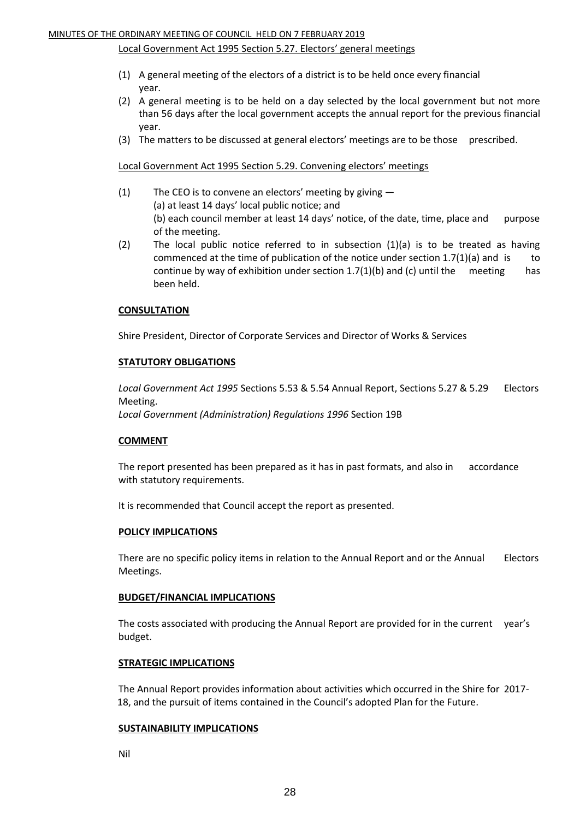#### Local Government Act 1995 Section 5.27. Electors' general meetings

- (1) A general meeting of the electors of a district is to be held once every financial year.
- (2) A general meeting is to be held on a day selected by the local government but not more than 56 days after the local government accepts the annual report for the previous financial year.
- (3) The matters to be discussed at general electors' meetings are to be those prescribed.

Local Government Act 1995 Section 5.29. Convening electors' meetings

- (1) The CEO is to convene an electors' meeting by giving (a) at least 14 days' local public notice; and (b) each council member at least 14 days' notice, of the date, time, place and purpose of the meeting.
- (2) The local public notice referred to in subsection  $(1)(a)$  is to be treated as having commenced at the time of publication of the notice under section  $1.7(1)(a)$  and is to continue by way of exhibition under section  $1.7(1)(b)$  and (c) until the meeting has been held.

#### **CONSULTATION**

Shire President, Director of Corporate Services and Director of Works & Services

#### **STATUTORY OBLIGATIONS**

*Local Government Act 1995* Sections 5.53 & 5.54 Annual Report, Sections 5.27 & 5.29 Electors Meeting.

*Local Government (Administration) Regulations 1996* Section 19B

#### **COMMENT**

The report presented has been prepared as it has in past formats, and also in accordance with statutory requirements.

It is recommended that Council accept the report as presented.

#### **POLICY IMPLICATIONS**

There are no specific policy items in relation to the Annual Report and or the Annual Electors Meetings.

#### **BUDGET/FINANCIAL IMPLICATIONS**

The costs associated with producing the Annual Report are provided for in the current year's budget.

#### **STRATEGIC IMPLICATIONS**

The Annual Report provides information about activities which occurred in the Shire for 2017- 18, and the pursuit of items contained in the Council's adopted Plan for the Future.

#### **SUSTAINABILITY IMPLICATIONS**

Nil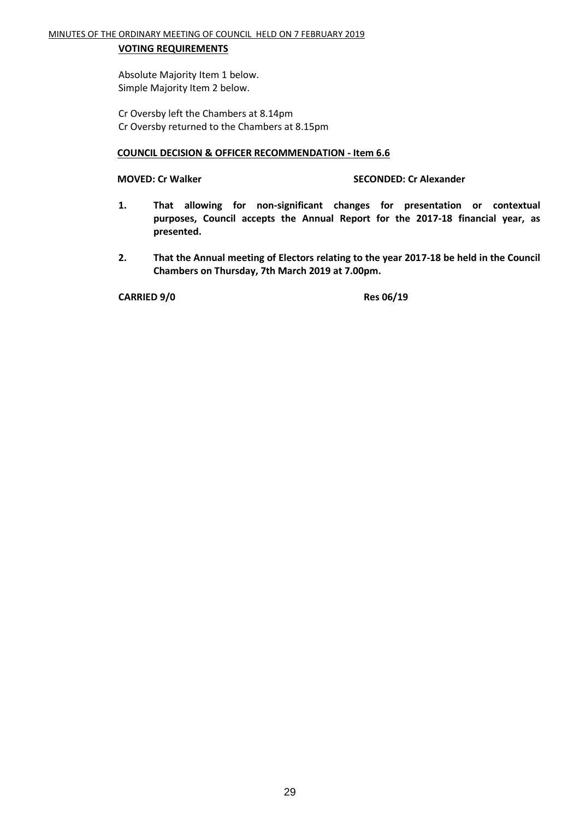#### **VOTING REQUIREMENTS**

Absolute Majority Item 1 below. Simple Majority Item 2 below.

Cr Oversby left the Chambers at 8.14pm Cr Oversby returned to the Chambers at 8.15pm

#### **COUNCIL DECISION & OFFICER RECOMMENDATION - Item 6.6**

#### **MOVED: Cr Walker SECONDED: Cr Alexander**

- **1. That allowing for non-significant changes for presentation or contextual purposes, Council accepts the Annual Report for the 2017-18 financial year, as presented.**
- **2. That the Annual meeting of Electors relating to the year 2017-18 be held in the Council Chambers on Thursday, 7th March 2019 at 7.00pm.**

**CARRIED 9/0 Res 06/19**